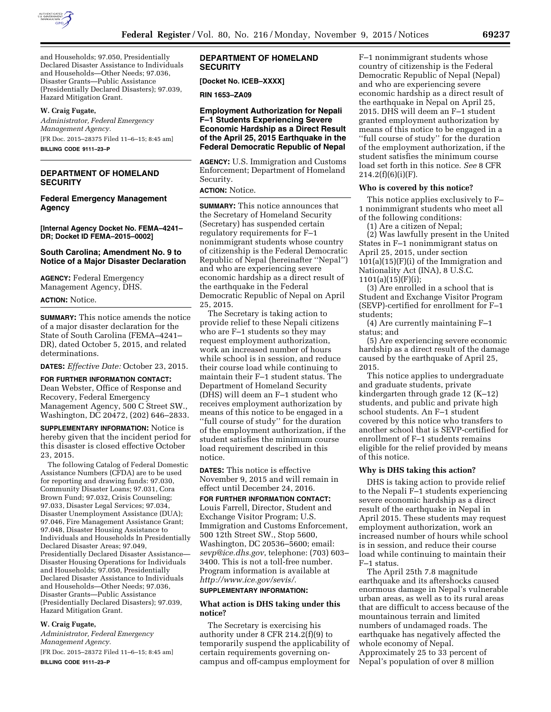

and Households; 97.050, Presidentially Declared Disaster Assistance to Individuals and Households—Other Needs; 97.036, Disaster Grants—Public Assistance (Presidentially Declared Disasters); 97.039, Hazard Mitigation Grant.

#### **W. Craig Fugate,**

*Administrator, Federal Emergency Management Agency.*  [FR Doc. 2015–28375 Filed 11–6–15; 8:45 am] **BILLING CODE 9111–23–P** 

## **DEPARTMENT OF HOMELAND SECURITY**

#### **Federal Emergency Management Agency**

**[Internal Agency Docket No. FEMA–4241– DR; Docket ID FEMA–2015–0002]** 

#### **South Carolina; Amendment No. 9 to Notice of a Major Disaster Declaration**

**AGENCY:** Federal Emergency Management Agency, DHS.

#### **ACTION:** Notice.

**SUMMARY:** This notice amends the notice of a major disaster declaration for the State of South Carolina (FEMA–4241– DR), dated October 5, 2015, and related determinations.

**DATES:** *Effective Date:* October 23, 2015.

**FOR FURTHER INFORMATION CONTACT:**  Dean Webster, Office of Response and Recovery, Federal Emergency Management Agency, 500 C Street SW., Washington, DC 20472, (202) 646–2833.

**SUPPLEMENTARY INFORMATION:** Notice is hereby given that the incident period for this disaster is closed effective October 23, 2015.

The following Catalog of Federal Domestic Assistance Numbers (CFDA) are to be used for reporting and drawing funds: 97.030, Community Disaster Loans; 97.031, Cora Brown Fund; 97.032, Crisis Counseling; 97.033, Disaster Legal Services; 97.034, Disaster Unemployment Assistance (DUA); 97.046, Fire Management Assistance Grant; 97.048, Disaster Housing Assistance to Individuals and Households In Presidentially Declared Disaster Areas; 97.049, Presidentially Declared Disaster Assistance— Disaster Housing Operations for Individuals and Households; 97.050, Presidentially Declared Disaster Assistance to Individuals and Households—Other Needs; 97.036, Disaster Grants—Public Assistance (Presidentially Declared Disasters); 97.039, Hazard Mitigation Grant.

#### **W. Craig Fugate,**

*Administrator, Federal Emergency Management Agency.* 

[FR Doc. 2015–28372 Filed 11–6–15; 8:45 am] **BILLING CODE 9111–23–P** 

## **DEPARTMENT OF HOMELAND SECURITY**

**[Docket No. ICEB–XXXX]** 

**RIN 1653–ZA09** 

**Employment Authorization for Nepali F–1 Students Experiencing Severe Economic Hardship as a Direct Result of the April 25, 2015 Earthquake in the Federal Democratic Republic of Nepal** 

**AGENCY:** U.S. Immigration and Customs Enforcement; Department of Homeland Security.

## **ACTION:** Notice.

**SUMMARY:** This notice announces that the Secretary of Homeland Security (Secretary) has suspended certain regulatory requirements for F–1 nonimmigrant students whose country of citizenship is the Federal Democratic Republic of Nepal (hereinafter ''Nepal'') and who are experiencing severe economic hardship as a direct result of the earthquake in the Federal Democratic Republic of Nepal on April 25, 2015.

The Secretary is taking action to provide relief to these Nepali citizens who are F–1 students so they may request employment authorization, work an increased number of hours while school is in session, and reduce their course load while continuing to maintain their F–1 student status. The Department of Homeland Security (DHS) will deem an F–1 student who receives employment authorization by means of this notice to be engaged in a ''full course of study'' for the duration of the employment authorization, if the student satisfies the minimum course load requirement described in this notice.

**DATES:** This notice is effective November 9, 2015 and will remain in effect until December 24, 2016.

## **FOR FURTHER INFORMATION CONTACT:**  Louis Farrell, Director, Student and Exchange Visitor Program; U.S. Immigration and Customs Enforcement, 500 12th Street SW., Stop 5600, Washington, DC 20536–5600; email: *[sevp@ice.dhs.gov](mailto:sevp@ice.dhs.gov)*, telephone: (703) 603– 3400. This is not a toll-free number. Program information is available at

#### *[http://www.ice.gov/sevis/.](http://www.ice.gov/sevis/)*  **SUPPLEMENTARY INFORMATION:**

#### **What action is DHS taking under this notice?**

The Secretary is exercising his authority under 8 CFR 214.2(f)(9) to temporarily suspend the applicability of certain requirements governing oncampus and off-campus employment for F–1 nonimmigrant students whose country of citizenship is the Federal Democratic Republic of Nepal (Nepal) and who are experiencing severe economic hardship as a direct result of the earthquake in Nepal on April 25, 2015. DHS will deem an F–1 student granted employment authorization by means of this notice to be engaged in a ''full course of study'' for the duration of the employment authorization, if the student satisfies the minimum course load set forth in this notice. *See* 8 CFR  $214.2(f)(6)(i)(F)$ .

#### **Who is covered by this notice?**

This notice applies exclusively to F– 1 nonimmigrant students who meet all of the following conditions:

(1) Are a citizen of Nepal;

(2) Was lawfully present in the United States in F–1 nonimmigrant status on April 25, 2015, under section 101(a)(15)(F)(i) of the Immigration and Nationality Act (INA), 8 U.S.C.  $1101(a)(15)(F)(i);$ 

(3) Are enrolled in a school that is Student and Exchange Visitor Program (SEVP)-certified for enrollment for F–1 students;

(4) Are currently maintaining F–1 status; and

(5) Are experiencing severe economic hardship as a direct result of the damage caused by the earthquake of April 25, 2015.

This notice applies to undergraduate and graduate students, private kindergarten through grade 12 (K–12) students, and public and private high school students. An F–1 student covered by this notice who transfers to another school that is SEVP-certified for enrollment of F–1 students remains eligible for the relief provided by means of this notice.

#### **Why is DHS taking this action?**

DHS is taking action to provide relief to the Nepali F–1 students experiencing severe economic hardship as a direct result of the earthquake in Nepal in April 2015. These students may request employment authorization, work an increased number of hours while school is in session, and reduce their course load while continuing to maintain their F–1 status.

The April 25th 7.8 magnitude earthquake and its aftershocks caused enormous damage in Nepal's vulnerable urban areas, as well as to its rural areas that are difficult to access because of the mountainous terrain and limited numbers of undamaged roads. The earthquake has negatively affected the whole economy of Nepal. Approximately 25 to 33 percent of Nepal's population of over 8 million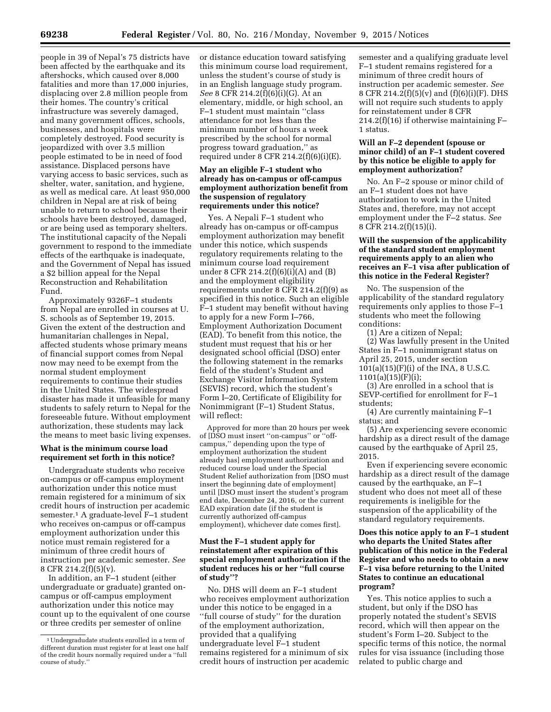people in 39 of Nepal's 75 districts have been affected by the earthquake and its aftershocks, which caused over 8,000 fatalities and more than 17,000 injuries, displacing over 2.8 million people from their homes. The country's critical infrastructure was severely damaged, and many government offices, schools, businesses, and hospitals were completely destroyed. Food security is jeopardized with over 3.5 million people estimated to be in need of food assistance. Displaced persons have varying access to basic services, such as shelter, water, sanitation, and hygiene, as well as medical care. At least 950,000 children in Nepal are at risk of being unable to return to school because their schools have been destroyed, damaged, or are being used as temporary shelters. The institutional capacity of the Nepali government to respond to the immediate effects of the earthquake is inadequate, and the Government of Nepal has issued a \$2 billion appeal for the Nepal Reconstruction and Rehabilitation Fund.

Approximately 9326F–1 students from Nepal are enrolled in courses at U. S. schools as of September 19, 2015. Given the extent of the destruction and humanitarian challenges in Nepal, affected students whose primary means of financial support comes from Nepal now may need to be exempt from the normal student employment requirements to continue their studies in the United States. The widespread disaster has made it unfeasible for many students to safely return to Nepal for the foreseeable future. Without employment authorization, these students may lack the means to meet basic living expenses.

## **What is the minimum course load requirement set forth in this notice?**

Undergraduate students who receive on-campus or off-campus employment authorization under this notice must remain registered for a minimum of six credit hours of instruction per academic semester.1 A graduate-level F–1 student who receives on-campus or off-campus employment authorization under this notice must remain registered for a minimum of three credit hours of instruction per academic semester. *See*  8 CFR 214.2(f)(5)(v).

In addition, an F–1 student (either undergraduate or graduate) granted oncampus or off-campus employment authorization under this notice may count up to the equivalent of one course or three credits per semester of online

or distance education toward satisfying this minimum course load requirement, unless the student's course of study is in an English language study program. *See* 8 CFR 214.2(f)(6)(i)(G). At an elementary, middle, or high school, an F–1 student must maintain ''class attendance for not less than the minimum number of hours a week prescribed by the school for normal progress toward graduation,'' as required under 8 CFR 214.2 $(f)(6)(i)(E)$ .

#### **May an eligible F–1 student who already has on-campus or off-campus employment authorization benefit from the suspension of regulatory requirements under this notice?**

Yes. A Nepali F–1 student who already has on-campus or off-campus employment authorization may benefit under this notice, which suspends regulatory requirements relating to the minimum course load requirement under 8 CFR 214.2(f)(6)(i)(A) and (B) and the employment eligibility requirements under 8 CFR 214.2(f)(9) as specified in this notice. Such an eligible F–1 student may benefit without having to apply for a new Form I–766, Employment Authorization Document (EAD). To benefit from this notice, the student must request that his or her designated school official (DSO) enter the following statement in the remarks field of the student's Student and Exchange Visitor Information System (SEVIS) record, which the student's Form I–20, Certificate of Eligibility for Nonimmigrant (F–1) Student Status, will reflect:

Approved for more than 20 hours per week of [DSO must insert ''on-campus'' or ''offcampus,'' depending upon the type of employment authorization the student already has] employment authorization and reduced course load under the Special Student Relief authorization from [DSO must insert the beginning date of employment] until [DSO must insert the student's program end date, December 24, 2016, or the current EAD expiration date (if the student is currently authorized off-campus employment), whichever date comes first].

## **Must the F–1 student apply for reinstatement after expiration of this special employment authorization if the student reduces his or her ''full course of study''?**

No. DHS will deem an F–1 student who receives employment authorization under this notice to be engaged in a ''full course of study'' for the duration of the employment authorization, provided that a qualifying undergraduate level F–1 student remains registered for a minimum of six credit hours of instruction per academic

semester and a qualifying graduate level F–1 student remains registered for a minimum of three credit hours of instruction per academic semester. *See*  8 CFR 214.2(f)(5)(v) and (f)(6)(i)(F). DHS will not require such students to apply for reinstatement under 8 CFR 214.2(f)(16) if otherwise maintaining F– 1 status.

#### **Will an F–2 dependent (spouse or minor child) of an F–1 student covered by this notice be eligible to apply for employment authorization?**

No. An F–2 spouse or minor child of an F–1 student does not have authorization to work in the United States and, therefore, may not accept employment under the F–2 status. *See*  8 CFR 214.2(f)(15)(i).

## **Will the suspension of the applicability of the standard student employment requirements apply to an alien who receives an F–1 visa after publication of this notice in the Federal Register?**

No. The suspension of the applicability of the standard regulatory requirements only applies to those F–1 students who meet the following conditions:

(1) Are a citizen of Nepal; (2) Was lawfully present in the United States in F–1 nonimmigrant status on April 25, 2015, under section 101(a)(15)(F)(i) of the INA, 8 U.S.C.  $1101(a)(15)(F)(i);$ 

(3) Are enrolled in a school that is SEVP-certified for enrollment for F–1 students;

(4) Are currently maintaining F–1 status; and

(5) Are experiencing severe economic hardship as a direct result of the damage caused by the earthquake of April 25, 2015.

Even if experiencing severe economic hardship as a direct result of the damage caused by the earthquake, an F–1 student who does not meet all of these requirements is ineligible for the suspension of the applicability of the standard regulatory requirements.

## **Does this notice apply to an F–1 student who departs the United States after publication of this notice in the Federal Register and who needs to obtain a new F–1 visa before returning to the United States to continue an educational program?**

Yes. This notice applies to such a student, but only if the DSO has properly notated the student's SEVIS record, which will then appear on the student's Form I–20. Subject to the specific terms of this notice, the normal rules for visa issuance (including those related to public charge and

<sup>1</sup>Undergradudate students enrolled in a term of different duration must register for at least one half of the credit hours normally required under a ''full course of study.''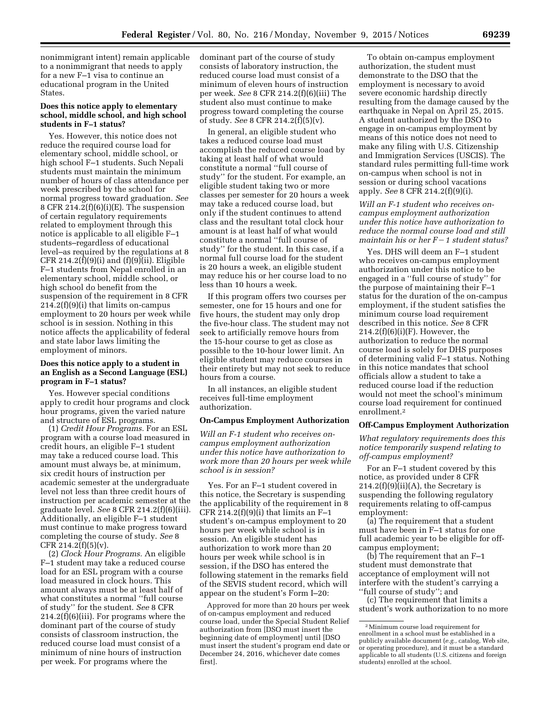nonimmigrant intent) remain applicable to a nonimmigrant that needs to apply for a new F–1 visa to continue an educational program in the United States.

#### **Does this notice apply to elementary school, middle school, and high school students in F–1 status?**

Yes. However, this notice does not reduce the required course load for elementary school, middle school, or high school F–1 students. Such Nepali students must maintain the minimum number of hours of class attendance per week prescribed by the school for normal progress toward graduation. *See*  8 CFR  $2\overline{1}4.\overline{2}(f)(6)(i)(E)$ . The suspension of certain regulatory requirements related to employment through this notice is applicable to all eligible F–1 students–regardless of educational level–as required by the regulations at 8 CFR 214.2( $f(x)$ )(i) and ( $f(x)$ )(ii). Eligible F–1 students from Nepal enrolled in an elementary school, middle school, or high school do benefit from the suspension of the requirement in 8 CFR 214.2(f)(9)(i) that limits on-campus employment to 20 hours per week while school is in session. Nothing in this notice affects the applicability of federal and state labor laws limiting the employment of minors.

#### **Does this notice apply to a student in an English as a Second Language (ESL) program in F–1 status?**

Yes. However special conditions apply to credit hour programs and clock hour programs, given the varied nature and structure of ESL programs.

(1) *Credit Hour Programs.* For an ESL program with a course load measured in credit hours, an eligible F–1 student may take a reduced course load. This amount must always be, at minimum, six credit hours of instruction per academic semester at the undergraduate level not less than three credit hours of instruction per academic semester at the graduate level. *See* 8 CFR 214.2(f)(6)(iii). Additionally, an eligible F–1 student must continue to make progress toward completing the course of study. *See* 8 CFR 214.2(f)(5)(v).

(2) *Clock Hour Programs.* An eligible F–1 student may take a reduced course load for an ESL program with a course load measured in clock hours. This amount always must be at least half of what constitutes a normal ''full course of study'' for the student. *See* 8 CFR 214.2(f)(6)(iii). For programs where the dominant part of the course of study consists of classroom instruction, the reduced course load must consist of a minimum of nine hours of instruction per week. For programs where the

dominant part of the course of study consists of laboratory instruction, the reduced course load must consist of a minimum of eleven hours of instruction per week. *See* 8 CFR 214.2(f)(6)(iii) The student also must continue to make progress toward completing the course of study. *See* 8 CFR 214.2(f)(5)(v).

In general, an eligible student who takes a reduced course load must accomplish the reduced course load by taking at least half of what would constitute a normal ''full course of study'' for the student. For example, an eligible student taking two or more classes per semester for 20 hours a week may take a reduced course load, but only if the student continues to attend class and the resultant total clock hour amount is at least half of what would constitute a normal ''full course of study'' for the student. In this case, if a normal full course load for the student is 20 hours a week, an eligible student may reduce his or her course load to no less than 10 hours a week.

If this program offers two courses per semester, one for 15 hours and one for five hours, the student may only drop the five-hour class. The student may not seek to artificially remove hours from the 15-hour course to get as close as possible to the 10-hour lower limit. An eligible student may reduce courses in their entirety but may not seek to reduce hours from a course.

In all instances, an eligible student receives full-time employment authorization.

# **On-Campus Employment Authorization**

*Will an F-1 student who receives oncampus employment authorization under this notice have authorization to work more than 20 hours per week while school is in session?* 

Yes. For an F–1 student covered in this notice, the Secretary is suspending the applicability of the requirement in 8 CFR 214.2(f)(9)(i) that limits an  $F-1$ student's on-campus employment to 20 hours per week while school is in session. An eligible student has authorization to work more than 20 hours per week while school is in session, if the DSO has entered the following statement in the remarks field of the SEVIS student record, which will appear on the student's Form I–20:

Approved for more than 20 hours per week of on-campus employment and reduced course load, under the Special Student Relief authorization from [DSO must insert the beginning date of employment] until [DSO must insert the student's program end date or December 24, 2016, whichever date comes first].

To obtain on-campus employment authorization, the student must demonstrate to the DSO that the employment is necessary to avoid severe economic hardship directly resulting from the damage caused by the earthquake in Nepal on April 25, 2015. A student authorized by the DSO to engage in on-campus employment by means of this notice does not need to make any filing with U.S. Citizenship and Immigration Services (USCIS). The standard rules permitting full-time work on-campus when school is not in session or during school vacations apply. *See* 8 CFR 214.2(f)(9)(i).

*Will an F-1 student who receives oncampus employment authorization under this notice have authorization to reduce the normal course load and still maintain his or her F* – 1 *student status?* 

Yes. DHS will deem an F–1 student who receives on-campus employment authorization under this notice to be engaged in a ''full course of study'' for the purpose of maintaining their F–1 status for the duration of the on-campus employment, if the student satisfies the minimum course load requirement described in this notice. *See* 8 CFR  $214.2(f)(6)(i)(F)$ . However, the authorization to reduce the normal course load is solely for DHS purposes of determining valid F–1 status. Nothing in this notice mandates that school officials allow a student to take a reduced course load if the reduction would not meet the school's minimum course load requirement for continued enrollment.2

#### **Off-Campus Employment Authorization**

*What regulatory requirements does this notice temporarily suspend relating to off-campus employment?* 

For an F–1 student covered by this notice, as provided under 8 CFR  $214.2(f)(9)(ii)(A)$ , the Secretary is suspending the following regulatory requirements relating to off-campus employment:

(a) The requirement that a student must have been in F–1 status for one full academic year to be eligible for offcampus employment;

(b) The requirement that an F–1 student must demonstrate that acceptance of employment will not interfere with the student's carrying a ''full course of study''; and

(c) The requirement that limits a student's work authorization to no more

<sup>2</sup>Minimum course load requirement for enrollment in a school must be established in a publicly available document (*e.g.,* catalog, Web site, or operating procedure), and it must be a standard applicable to all students (U.S. citizens and foreign students) enrolled at the school.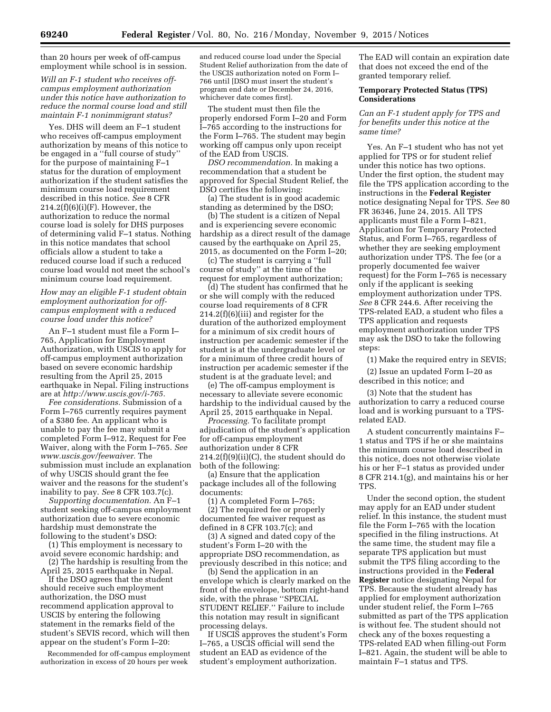than 20 hours per week of off-campus employment while school is in session.

*Will an F-1 student who receives offcampus employment authorization under this notice have authorization to reduce the normal course load and still maintain F-1 nonimmigrant status?* 

Yes. DHS will deem an F–1 student who receives off-campus employment authorization by means of this notice to be engaged in a ''full course of study'' for the purpose of maintaining F–1 status for the duration of employment authorization if the student satisfies the minimum course load requirement described in this notice. *See* 8 CFR  $214.2(f)(6)(i)(F)$ . However, the authorization to reduce the normal course load is solely for DHS purposes of determining valid F–1 status. Nothing in this notice mandates that school officials allow a student to take a reduced course load if such a reduced course load would not meet the school's minimum course load requirement.

#### *How may an eligible F-1 student obtain employment authorization for offcampus employment with a reduced course load under this notice?*

An F–1 student must file a Form I– 765, Application for Employment Authorization, with USCIS to apply for off-campus employment authorization based on severe economic hardship resulting from the April 25, 2015 earthquake in Nepal. Filing instructions are at *[http://www.uscis.gov/i-765.](http://www.uscis.gov/i-765)* 

*Fee considerations.* Submission of a Form I–765 currently requires payment of a \$380 fee. An applicant who is unable to pay the fee may submit a completed Form I–912, Request for Fee Waiver, along with the Form I–765. *See [www.uscis.gov/feewaiver.](http://www.uscis.gov/feewaiver)* The submission must include an explanation of why USCIS should grant the fee waiver and the reasons for the student's inability to pay. *See* 8 CFR 103.7(c).

*Supporting documentation.* An F–1 student seeking off-campus employment authorization due to severe economic hardship must demonstrate the following to the student's DSO:

(1) This employment is necessary to avoid severe economic hardship; and (2) The hardship is resulting from the

April 25, 2015 earthquake in Nepal. If the DSO agrees that the student

should receive such employment authorization, the DSO must recommend application approval to USCIS by entering the following statement in the remarks field of the student's SEVIS record, which will then appear on the student's Form I–20:

Recommended for off-campus employment authorization in excess of 20 hours per week

and reduced course load under the Special Student Relief authorization from the date of the USCIS authorization noted on Form I– 766 until [DSO must insert the student's program end date or December 24, 2016, whichever date comes first].

The student must then file the properly endorsed Form I–20 and Form I–765 according to the instructions for the Form I–765. The student may begin working off campus only upon receipt of the EAD from USCIS.

*DSO recommendation.* In making a recommendation that a student be approved for Special Student Relief, the DSO certifies the following:

(a) The student is in good academic standing as determined by the DSO;

(b) The student is a citizen of Nepal and is experiencing severe economic hardship as a direct result of the damage caused by the earthquake on April 25, 2015, as documented on the Form I–20;

(c) The student is carrying a ''full course of study'' at the time of the request for employment authorization;

(d) The student has confirmed that he or she will comply with the reduced course load requirements of 8 CFR 214.2(f)(6)(iii) and register for the duration of the authorized employment for a minimum of six credit hours of instruction per academic semester if the student is at the undergraduate level or for a minimum of three credit hours of instruction per academic semester if the student is at the graduate level; and

(e) The off-campus employment is necessary to alleviate severe economic hardship to the individual caused by the April 25, 2015 earthquake in Nepal.

*Processing.* To facilitate prompt adjudication of the student's application for off-campus employment authorization under 8 CFR 214.2(f)(9)(ii)(C), the student should do both of the following:

(a) Ensure that the application package includes all of the following documents:

(1) A completed Form I–765; (2) The required fee or properly

documented fee waiver request as defined in 8 CFR 103.7(c); and (3) A signed and dated copy of the

student's Form I–20 with the appropriate DSO recommendation, as previously described in this notice; and

(b) Send the application in an envelope which is clearly marked on the front of the envelope, bottom right-hand side, with the phrase ''SPECIAL STUDENT RELIEF.'' Failure to include this notation may result in significant processing delays.

If USCIS approves the student's Form I–765, a USCIS official will send the student an EAD as evidence of the student's employment authorization.

The EAD will contain an expiration date that does not exceed the end of the granted temporary relief.

#### **Temporary Protected Status (TPS) Considerations**

*Can an F-1 student apply for TPS and for benefits under this notice at the same time?* 

Yes. An F–1 student who has not yet applied for TPS or for student relief under this notice has two options. Under the first option, the student may file the TPS application according to the instructions in the **Federal Register**  notice designating Nepal for TPS. *See* 80 FR 36346, June 24, 2015. All TPS applicants must file a Form I–821, Application for Temporary Protected Status, and Form I–765, regardless of whether they are seeking employment authorization under TPS. The fee (or a properly documented fee waiver request) for the Form I–765 is necessary only if the applicant is seeking employment authorization under TPS. *See* 8 CFR 244.6. After receiving the TPS-related EAD, a student who files a TPS application and requests employment authorization under TPS may ask the DSO to take the following steps:

(1) Make the required entry in SEVIS;

(2) Issue an updated Form I–20 as described in this notice; and

(3) Note that the student has authorization to carry a reduced course load and is working pursuant to a TPSrelated EAD.

A student concurrently maintains F– 1 status and TPS if he or she maintains the minimum course load described in this notice, does not otherwise violate his or her F–1 status as provided under 8 CFR 214.1(g), and maintains his or her TPS.

Under the second option, the student may apply for an EAD under student relief. In this instance, the student must file the Form I–765 with the location specified in the filing instructions. At the same time, the student may file a separate TPS application but must submit the TPS filing according to the instructions provided in the **Federal Register** notice designating Nepal for TPS. Because the student already has applied for employment authorization under student relief, the Form I–765 submitted as part of the TPS application is without fee. The student should not check any of the boxes requesting a TPS-related EAD when filling-out Form I–821. Again, the student will be able to maintain F–1 status and TPS.